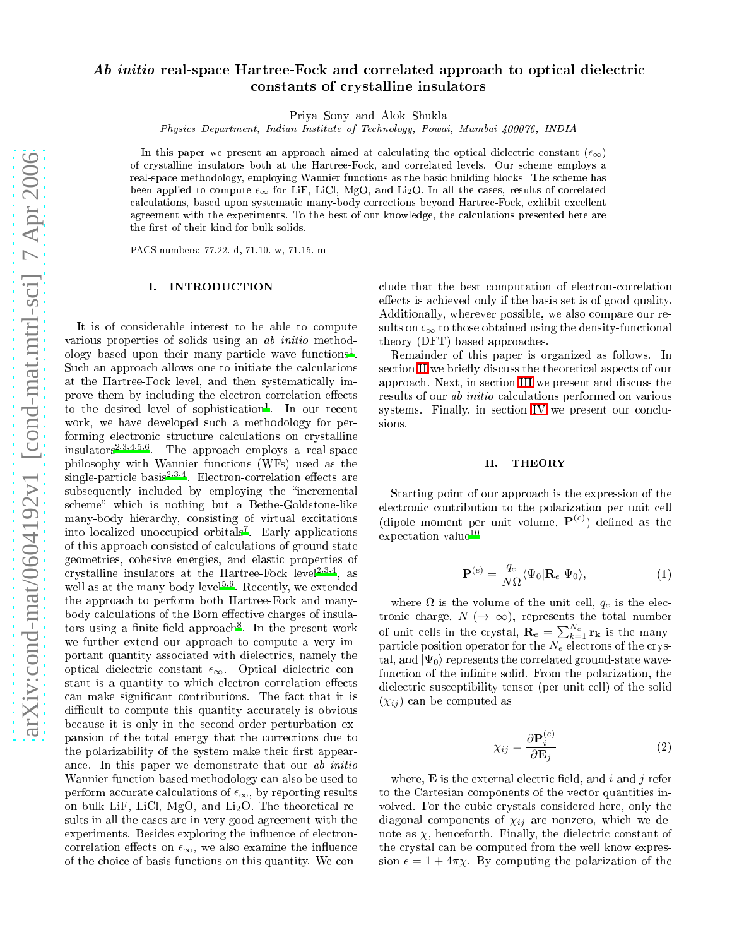# Ab initio real-space Hartree-Fock and correlated approach to optical dielectric onstants of rystalline insulators

Priya Sony and Alok Shukla

Physics Department, Indian Institute of Technology, Powai, Mumbai 400076, INDIA

In this paper we present an approach aimed at calculating the optical dielectric constant  $(\epsilon_{\infty})$ of crystalline insulators both at the Hartree-Fock, and correlated levels. Our scheme employs a real-space methodology, employing Wannier functions as the basic building blocks. The scheme has been applied to compute  $\epsilon_{\infty}$  for LiF, LiCl, MgO, and Li<sub>2</sub>O. In all the cases, results of correlated al
ulations, based upon systemati many-body orre
tions beyond Hartree-Fo
k, exhibit ex
ellent agreement with the experiments. To the best of our knowledge, the calculations presented here are the first of their kind for bulk solids.

PACS numbers: 77.22.-d, 71.10.-w, 71.15.-m

### I. INTRODUCTION

It is of onsiderable interest to be able to ompute various properties of solids using an ab initio methodology based upon their many-particle wave functions . Such an approach allows one to initiate the calculations at the Hartree-Fo
k level, and then systemati
ally improve them by including the electron-correlation effects to the desired level of sophistication . The our recent work, we have developed su
h a methodology for performing electronic structure calculations on crystalline insulators2,3,4,5,6 . The approa
h employs a real-spa
e philosophy with Wannier fun
tions (WFs) used as the single-particle pasis-222. Electron-correlation effects are subsequently included by employing the "incremental scheme" which is nothing but a Bethe-Goldstone-like many-body hierar
hy, onsisting of virtual ex
itations into localized unoccupied orbitals . Early applications of this approa
h onsisted of al
ulations of ground state geometries, ohesive energies, and elasti properties of crystalline insulators at the Hartree-Fock level<sup>-1-1-</sup>, as well as at the many-body level<sup>-1</sup>. Recently, we extended the approa
h to perform both Hartree-Fo
k and manybody calculations of the Born effective charges of insulators using a ninte-neld approach". In the present work we further extend our approach to compute a very important quantity asso
iated with diele
tri
s, namely the optical dielectric constant  $\epsilon_{\infty}$ . Optical dielectric constant is a quantity to which electron correlation effects can make significant contributions. The fact that it is difficult to compute this quantity accurately is obvious because it is only in the second-order perturbation expansion of the total energy that the orre
tions due to the polarizability of the system make their first appearan
e. In this paper we demonstrate that our ab initio Wannier-function-based methodology can also be used to perform accurate calculations of  $\epsilon_{\infty}$ , by reporting results on bulk LiF, LiCl, MgO, and Li<sub>2</sub>O. The theoretical results in all the ases are in very good agreement with the experiments. Besides exploring the influence of electroncorrelation effects on  $\epsilon_{\infty}$ , we also examine the influence of the hoi
e of basis fun
tions on this quantity. We onlude that the best omputation of ele
tronorrelation effects is achieved only if the basis set is of good quality. Additionally, wherever possible, we also ompare our results on  $\epsilon_{\infty}$  to those obtained using the density-functional theory (DFT) based approa
hes.

Remainder of this paper is organized as follows. In section [II](#page-0-0) we briefly discuss the theoretical aspects of our approa
h. Next, in se
tion [III](#page-1-0) we present and dis
uss the results of our *ab initio* calculations performed on various systems. Finally, in section [IV](#page-3-7) we present our conclusions.

### II. THEORY

<span id="page-0-0"></span>Starting point of our approach is the expression of the electronic contribution to the polarization per unit cell (dipole moment per unit volume,  $P^{(e)}$ ) defined as the expectation value<sup>10</sup>

$$
\mathbf{P}^{(e)} = \frac{q_e}{N\Omega} \langle \Psi_0 | \mathbf{R}_e | \Psi_0 \rangle, \tag{1}
$$

<span id="page-0-1"></span>where  $\Omega$  is the volume of the unit cell,  $q_e$  is the electronic charge,  $N (\rightarrow \infty)$ , represents the total number of unit cells in the crystal,  $\mathbf{R}_e = \sum_{k=1}^{N_e} \mathbf{r_k}$  is the manyparticle position operator for the  $N_e$  electrons of the crystal, and  $|\Psi_0\rangle$  represents the correlated ground-state wavefunction of the infinite solid. From the polarization, the dielectric susceptibility tensor (per unit cell) of the solid  $(\chi_{ij})$  can be computed as

$$
\chi_{ij} = \frac{\partial \mathbf{P}_i^{(e)}}{\partial \mathbf{E}_j} \tag{2}
$$

where,  $\bf{E}$  is the external electric field, and i and i refer to the Cartesian omponents of the ve
tor quantities involved. For the cubic crystals considered here, only the diagonal components of  $\chi_{ij}$  are nonzero, which we denote as  $\chi$ , henceforth. Finally, the dielectric constant of the crystal can be computed from the well know expression  $\epsilon = 1 + 4\pi\chi$ . By computing the polarization of the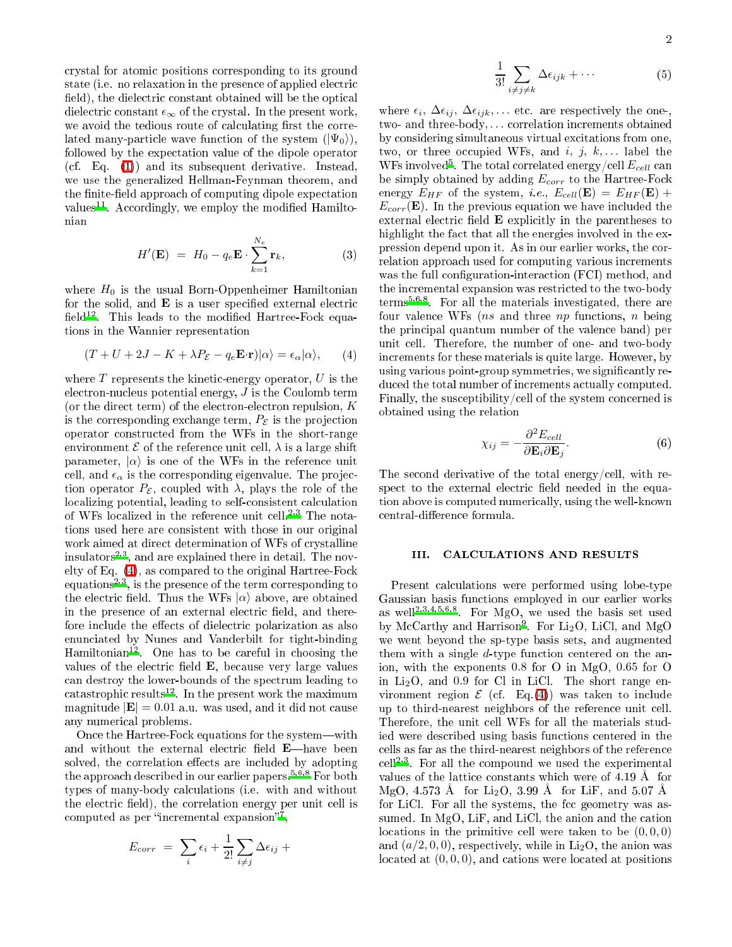rystal for atomi positions orresponding to its ground state (i.e. no relaxation in the presence of applied electric field), the dielectric constant obtained will be the optical dielectric constant  $\epsilon_{\infty}$  of the crystal. In the present work, we avoid the tedious route of calculating first the correlated many-particle wave function of the system  $(|\Psi_0\rangle)$ , followed by the expe
tation value of the dipole operator (
f. Eq. [\(1\)](#page-0-1)) and its subsequent derivative. Instead, we use the generalized Hellman-Feynman theorem, and the finite-field approach of computing dipole expectation values . Accordingly, we employ the modified Hamiltonian

$$
H'(\mathbf{E}) = H_0 - q_e \mathbf{E} \cdot \sum_{k=1}^{N_e} \mathbf{r}_k, \tag{3}
$$

where  $H_0$  is the usual Born-Oppenheimer Hamiltonian for the solid, and  $E$  is a user specified external electric neld<sup>--</sup>. Inis leads to the modined Hartree-Fock equations in the Wannier representation

$$
(T + U + 2J - K + \lambda P_{\mathcal{E}} - q_e \mathbf{E} \cdot \mathbf{r}) |\alpha\rangle = \epsilon_\alpha |\alpha\rangle, \qquad (4)
$$

<span id="page-1-1"></span>where  $T$  represents the kinetic-energy operator,  $U$  is the ele
tron-nu
leus potential energy, J is the Coulomb term (or the direct term) of the electron-electron repulsion,  $K$ is the corresponding exchange term,  $P_{\mathcal{E}}$  is the projection operator onstru
ted from the WFs in the short-range environment  $\mathcal E$  of the reference unit cell,  $\lambda$  is a large shift parameter,  $|\alpha\rangle$  is one of the WFs in the reference unit cell, and  $\epsilon_{\alpha}$  is the corresponding eigenvalue. The projection operator  $P_{\mathcal{E}}$ , coupled with  $\lambda$ , plays the role of the localizing potential, leading to self-consistent calculation of WFs localized in the reference unit cell.<sup>2,3</sup> The notations used here are onsistent with those in our original work aimed at direct determination of WFs of crystalline insulators2,3 , and are explained there in detail. The novelty of Eq. [\(4\)](#page-1-1), as ompared to the original Hartree-Fo
k equations-<sup>, ,</sup> , is the presence of the term corresponding to the electric field. Thus the WFs  $|\alpha\rangle$  above, are obtained in the presence of an external electric field, and therefore include the effects of dielectric polarization as also enun
iated by Nunes and Vanderbilt for tight-binding Hamiltonian<sup>12</sup> . One has to be areful in hoosing the values of the electric field **E**, because very large values an destroy the lower-bounds of the spe
trum leading to catastrophic results<sup>--</sup>. In the present work the maximum magnitude  $|\mathbf{E}| = 0.01$  a.u. was used, and it did not cause any numeri
al problems.

Once the Hartree-Fock equations for the system—with and without the external electric field E-have been solved, the correlation effects are included by adopting the approach described in our earlier papers.<sup>5,6,8</sup> For both types of many-body al
ulations (i.e. with and without the electric field), the correlation energy per unit cell is computed as per incremental expansion  $\,$  ,

$$
E_{corr} = \sum_{i} \epsilon_i + \frac{1}{2!} \sum_{i \neq j} \Delta \epsilon_{ij} +
$$

$$
\frac{1}{3!} \sum_{i \neq j \neq k} \Delta \epsilon_{ijk} + \cdots \tag{5}
$$

where  $\epsilon_i$ ,  $\Delta \epsilon_{ij}$ ,  $\Delta \epsilon_{ijk}$ ,... etc. are respectively the one-, two- and three-body, ... correlation increments obtained by onsidering simultaneous virtual ex
itations from one, two, or three occupied WFs, and i, j,  $k$ ,... label the WFs involved $^{\rm b}$  . The total correlated energy/cell  $E_{cell}$  can be simply obtained by adding  $E_{corr}$  to the Hartree-Fock energy  $E_{HF}$  of the system, *i.e.*,  $E_{cell}(\mathbf{E}) = E_{HF}(\mathbf{E}) +$  $E_{corr}(\mathbf{E})$ . In the previous equation we have included the external electric field  $E$  explicitly in the parentheses to highlight the fact that all the energies involved in the expression depend upon it. As in our earlier works, the orrelation approach used for computing various increments was the full configuration-interaction (FCI) method, and the incremental expansion was restricted to the two-body terms5,6,8 . For all the materials investigated, there are four valence WFs (*ns* and three *np* functions, *n* being the prin
ipal quantum number of the valen
e band) per unit ell. Therefore, the number of one- and two-body increments for these materials is quite large. However, by using various point-group symmetries, we significantly reduced the total number of increments actually computed. Finally, the susceptibility/cell of the system concerned is obtained using the relation

$$
\chi_{ij} = -\frac{\partial^2 E_{cell}}{\partial \mathbf{E}_i \partial \mathbf{E}_j}.
$$
 (6)

<span id="page-1-2"></span>The second derivative of the total energy/cell, with respect to the external electric field needed in the equation above is omputed numeri
ally, using the well-known central-difference formula.

#### CALCULATIONS AND RESULTS III.

<span id="page-1-0"></span>Present calculations were performed using lobe-type Gaussian basis fun
tions employed in our earlier works as well2,3,4,5,6,8 . For MgO, we used the basis set used by McCarthy and Harrison  $\cdot$  for Li<sub>2</sub>O, LiCl, and MgO we went beyond the sp-type basis sets, and augmented them with a single  $d$ -type function centered on the anion, with the exponents 0.8 for O in MgO, 0.65 for O in  $Li<sub>2</sub>O$ , and 0.9 for Cl in LiCl. The short range environment region  $\mathcal E$  (cf. Eq.[\(4\)](#page-1-1)) was taken to include up to third-nearest neighbors of the referen
e unit ell. Therefore, the unit ell WFs for all the materials studied were des
ribed using basis fun
tions entered in the ells as far as the third-nearest neighbors of the referen
e center. For all the compound we used the experimental values of the lattice constants which were of 4.19 Å for MgO, 4.573 Å for Li<sub>2</sub>O, 3.99 Å for LiF, and 5.07 Å for LiCl. For all the systems, the fcc geometry was assumed. In  $MgO$ , LiF, and LiCl, the anion and the cation locations in the primitive cell were taken to be  $(0,0,0)$ and  $(a/2, 0, 0)$ , respectively, while in  $Li<sub>2</sub>O$ , the anion was located at  $(0,0,0)$ , and cations were located at positions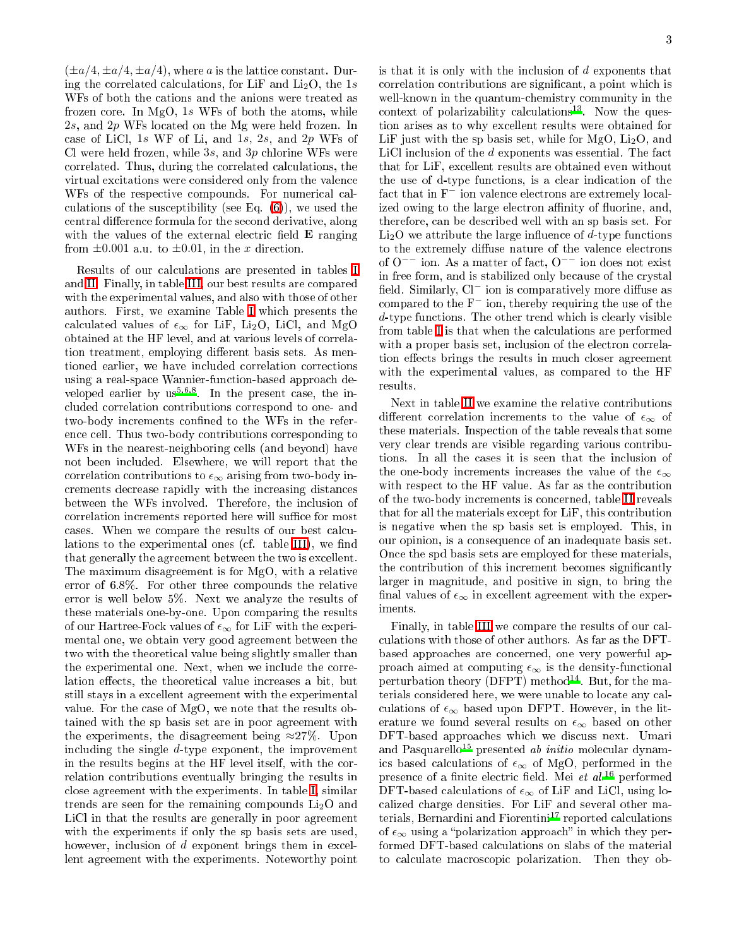$(\pm a/4, \pm a/4, \pm a/4)$ , where a is the lattice constant. During the correlated calculations, for LiF and  $Li<sub>2</sub>O$ , the 1s WFs of both the cations and the anions were treated as frozen ore. In MgO, 1s WFs of both the atoms, while 2s, and 2p WFs located on the Mg were held frozen. In case of LiCl,  $1s$  WF of Li, and  $1s$ ,  $2s$ , and  $2p$  WFs of Cl were held frozen, while  $3s$ , and  $3p$  chlorine WFs were orrelated. Thus, during the orrelated al
ulations, the virtual excitations were considered only from the valence WFs of the respective compounds. For numerical calulations of the sus
eptibility (see Eq. [\(6\)](#page-1-2)), we used the central difference formula for the second derivative, along with the values of the external electric field  $E$  ranging from  $\pm 0.001$  a.u. to  $\pm 0.01$ , in the x direction.

Results of our al
ulations are presented in tables [I](#page-3-12) and [II.](#page-4-0) Finally, in table [III,](#page-4-1) our best results are ompared with the experimental values, and also with those of other authors. First, we examine Table [I](#page-3-12) whi
h presents the calculated values of  $\epsilon_{\infty}$  for LiF, Li<sub>2</sub>O, LiCl, and MgO obtained at the HF level, and at various levels of orrelation treatment, employing different basis sets. As mentioned earlier, we have in
luded orrelation orre
tions using a real-spa
e Wannier-fun
tion-based approa
h developed earlier by us<sup>3,63</sup>. In the present case, the included correlation contributions correspond to one- and two-body increments confined to the WFs in the reference cell. Thus two-body contributions corresponding to WFs in the nearest-neighboring ells (and beyond) have not been in
luded. Elsewhere, we will report that the correlation contributions to  $\epsilon_{\infty}$  arising from two-body inrements de
rease rapidly with the in
reasing distan
es between the WFs involved. Therefore, the in
lusion of correlation increments reported here will suffice for most cases. When we compare the results of our best calcu-lations to the experimental ones (cf. table [III\)](#page-4-1), we find that generally the agreement between the two is ex
ellent. The maximum disagreement is for MgO, with a relative error of 6.8%. For other three ompounds the relative error is well below 5%. Next we analyze the results of these materials one-by-one. Upon omparing the results of our Hartree-Fock values of  $\epsilon_{\infty}$  for LiF with the experimental one, we obtain very good agreement between the two with the theoretical value being slightly smaller than the experimental one. Next, when we in
lude the orrelation effects, the theoretical value increases a bit, but still stays in a ex
ellent agreement with the experimental value. For the ase of MgO, we note that the results obtained with the sp basis set are in poor agreement with the experiments, the disagreement being  $\approx 27\%$ . Upon in
luding the single d-type exponent, the improvement in the results begins at the HF level itself, with the orrelation ontributions eventually bringing the results in close agreement with the experiments. In table [I,](#page-3-12) similar trends are seen for the remaining compounds  $Li<sub>2</sub>O$  and LiCl in that the results are generally in poor agreement with the experiments if only the sp basis sets are used, however, inclusion of d exponent brings them in excellent agreement with the experiments. Noteworthy point

is that it is only with the inclusion of  $d$  exponents that correlation contributions are significant, a point which is well-known in the quantum-chemistry community in the context or polarizability calculations. Now the question arises as to why ex
ellent results were obtained for LiF just with the sp basis set, while for  $MgO$ ,  $Li<sub>2</sub>O$ , and LiCl inclusion of the  $d$  exponents was essential. The fact that for LiF, ex
ellent results are obtained even without the use of d-type functional control construction of the same fact that in F<sup>−</sup> ion valence electrons are extremely localized owing to the large electron affinity of fluorine, and, therefore, an be des
ribed well with an sp basis set. For  $Li<sub>2</sub>O$  we attribute the large influence of d-type functions to the extremely diffuse nature of the valence electrons of <sup>O</sup>−− ion. As a matter of fa
t, O−− ion does not exist in free form, and is stabilized only because of the crystal field. Similarly,  $Cl^-$  ion is comparatively more diffuse as compared to the  $F<sup>-</sup>$  ion, thereby requiring the use of the  $d$ -type functions. The other trend which is clearly visible from table [I](#page-3-12) is that when the calculations are performed with a proper basis set, inclusion of the electron correlation effects brings the results in much closer agreement with the experimental values, as ompared to the HF results.

Next in table [II](#page-4-0) we examine the relative ontributions different correlation increments to the value of  $\epsilon_{\infty}$  of these materials. Inspe
tion of the table reveals that some very lear trends are visible regarding various ontributions. In all the ases it is seen that the in
lusion of the one-body increments increases the value of the  $\epsilon_{\infty}$ with respect to the HF value. As far as the contribution of the two-body in
rements is on
erned, table [II](#page-4-0) reveals that for all the materials ex
ept for LiF, this ontribution is negative when the sp basis set is employed. This, in our opinion, is a onsequen
e of an inadequate basis set. On
e the spd basis sets are employed for these materials, the contribution of this increment becomes significantly larger in magnitude, and positive in sign, to bring the final values of  $\epsilon_{\infty}$  in excellent agreement with the experiments.

Finally, in table [III](#page-4-1) we compare the results of our calulations with those of other authors. As far as the DFTbased approa
hes are on
erned, one very powerful approach aimed at computing  $\epsilon_{\infty}$  is the density-functional  $p$ erturbation theory (DFFI) method. Dut, for the materials onsidered here, we were unable to lo
ate any al culations of  $\epsilon_{\infty}$  based upon DFPT. However, in the literature we found several results on  $\epsilon_{\infty}$  based on other DFT-based approaches which we discuss next. Umari and Pasquarello<sup>15</sup> presented *ab initio* molecular dynamics based calculations of  $\epsilon_{\infty}$  of MgO, performed in the presence of a finite electric field. Mei et al.<sup>16</sup> performed DFT-based calculations of  $\epsilon_{\infty}$  of LiF and LiCl, using loalized harge densities. For LiF and several other materials, Bernardini and Fiorentini<sup>17</sup> reported calculations of  $\epsilon_{\infty}$  using a "polarization approach" in which they performed DFT-based calculations on slabs of the material to al
ulate ma
ros
opi polarization. Then they ob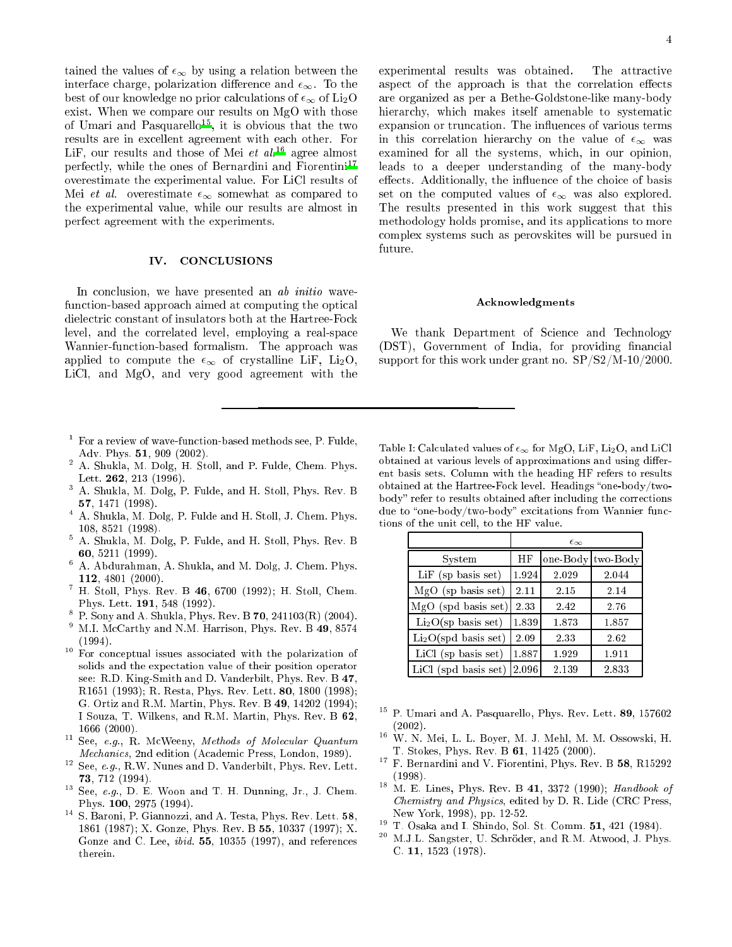tained the values of  $\epsilon_{\infty}$  by using a relation between the interface charge, polarization difference and  $\epsilon_{\infty}$ . To the best of our knowledge no prior calculations of  $\epsilon_{\infty}$  of Li<sub>2</sub>O exist. When we ompare our results on MgO with those of Umari and Pasquarellot, it is obvious that the two results are in ex
ellent agreement with ea
h other. For LiF, our results and those of Mei  $et \ al^{16}$  agree almost perfe
tly, while the ones of Bernardini and Fiorentini<sup>17</sup> overestimate the experimental value. For LiCl results of Mei et al. overestimate  $\epsilon_{\infty}$  somewhat as compared to the experimental value, while our results are almost in perfe
t agreement with the experiments.

## IV. CONCLUSIONS

<span id="page-3-7"></span>In conclusion, we have presented an ab initio wavefunction-based approach aimed at computing the optical dielectric constant of insulators both at the Hartree-Fock level, and the correlated level, employing a real-space Wannier-function-based formalism. The approach was applied to compute the  $\epsilon_{\infty}$  of crystalline LiF, Li<sub>2</sub>O, LiCl, and MgO, and very good agreement with the

- <span id="page-3-0"></span><sup>1</sup> For a review of wave-fun
tion-based methods see, P. Fulde, Adv. Phys. 51, 909 (2002).
- <span id="page-3-1"></span><sup>2</sup> A. Shukla, M. Dolg, H. Stoll, and P. Fulde, Chem. Phys. Lett. 262, 213 (1996).
- <span id="page-3-2"></span><sup>3</sup> A. Shukla, M. Dolg, P. Fulde, and H. Stoll, Phys. Rev. B 57, 1471 (1998).
- <span id="page-3-3"></span><sup>4</sup> A. Shukla, M. Dolg, P. Fulde and H. Stoll, J. Chem. Phys. 108, 8521 (1998).
- <span id="page-3-4"></span><sup>5</sup> A. Shukla, M. Dolg, P. Fulde, and H. Stoll, Phys. Rev. B 60, 5211 (1999).
- <span id="page-3-5"></span><sup>6</sup> A. Abdurahman, A. Shukla, and M. Dolg, J. Chem. Phys. 112, 4801 (2000).
- <sup>7</sup> H. Stoll, Phys. Rev. B 46, 6700 (1992); H. Stoll, Chem. Phys. Lett. 191, 548 (1992).
- P. Sony and A. Shukla, Phys. Rev. B 70, 241103(R) (2004).
- <span id="page-3-11"></span><span id="page-3-6"></span><sup>9</sup> M.I. M
Carthy and N.M. Harrison, Phys. Rev. B 49, 8574
- <span id="page-3-8"></span><sup>10</sup> For conceptual issues associated with the polarization of solids and the expe
tation value of their position operator see: R.D. King-Smith and D. Vanderbilt, Phys. Rev. B 47, R1651 (1993); R. Resta, Phys. Rev. Lett. 80, 1800 (1998); G. Ortiz and R.M. Martin, Phys. Rev. B 49, 14202 (1994); I Souza, T. Wilkens, and R.M. Martin, Phys. Rev. B 62, 1666 (2000).
- <span id="page-3-9"></span><sup>11</sup> See, e.g., R. McWeeny, Methods of Molecular Quantum Mechanics, 2nd edition (Academic Press, London, 1989).
- <span id="page-3-10"></span> $\sim$  See, e.g., R.W. Nunes and D. Vanderbilt, Phys. Rev. Lett. 73, 712 (1994).
- <span id="page-3-13"></span><sup>13</sup> See, e.g., D. E. Woon and T. H. Dunning, Jr., J. Chem. Phys. 100, 2975 (1994).
- <span id="page-3-14"></span>- -S. Baroni, P. Giannozzi, and A. Testa, Phys. Rev. Lett. 58, 1861 (1987); X. Gonze, Phys. Rev. B 55, 10337 (1997); X. Gonze and C. Lee,  $ibid.$  55, 10355 (1997), and references therein.

experimental results was obtained. The attractive aspect of the approach is that the correlation effects are organized as per a Bethe-Goldstone-like many-body hierarchy, which makes itself amenable to systematic expansion or truncation. The influences of various terms in this correlation hierarchy on the value of  $\epsilon_{\infty}$  was examined for all the systems, whi
h, in our opinion, leads to a deeper understanding of the many-body effects. Additionally, the influence of the choice of basis set on the computed values of  $\epsilon_{\infty}$  was also explored. The results presented in this work suggest that this methodology holds promise, and its appli
ations to more omplex systems su
h as perovskites will be pursued in future.

# A
knowledgments

We thank Department of Science and Technology (DST), Government of India, for providing financial support for this work under grant no. SP/S2/M-10/2000.

<span id="page-3-12"></span>Table I: Calculated values of  $\epsilon_{\infty}$  for MgO, LiF, Li<sub>2</sub>O, and LiCl obtained at various levels of approximations and using different basis sets. Column with the heading HF refers to results obtained at the Hartree-Fock level. Headings "one-body/twobody" refer to results obtained after including the corrections due to "one-body/two-body" excitations from Wannier functions of the unit ell, to the HF value.

|                                  | $\epsilon_{\infty}$ |          |          |
|----------------------------------|---------------------|----------|----------|
| System                           | ΗF                  | one-Body | two-Body |
| LiF (sp basis set)               | 1.924               | 2.029    | 2.044    |
| MgO (sp basis set)               | 2.11                | 2.15     | 2.14     |
| MgO (spd basis set)              | 2.33                | 2.42     | 2.76     |
| $Li2O$ (sp basis set)            | 1.839               | 1.873    | 1.857    |
| Li <sub>2</sub> O(spd basis set) | 2.09                | 2.33     | 2.62     |
| LiCl (sp basis set)              | 1.887               | 1.929    | 1.911    |
| LiCl (spd basis set)             | 2.096               | 2.139    | 2.833    |

- <span id="page-3-16"></span><sup>--</sup> P. Umari and A. Pasquarello, Phys. Rev. Lett. 89, 157602 (2002).
- <span id="page-3-17"></span> $\cdot$  W. N. Mei, L. L. Boyer, M. J. Mehl, M. M. Ossowski, H. T. Stokes, Phys. Rev. B 61, 11425 (2000).
- <span id="page-3-15"></span><sup>17</sup> F. Bernardini and V. Fiorentini, Phys. Rev. B 58, R15292 (1998).
- $\sim$  M. E. Lines, Phys. Rev. B 41, 3372 (1990); Handbook of Chemistry and Physi
s, edited by D. R. Lide (CRC Press, New York, 1998), pp. 12-52.
- <span id="page-3-18"></span><sup>19</sup> T. Osaka and I. Shindo, Sol. St. Comm. 51, 421 (1984).
- <sup>--</sup> M.J.L. Sangster, U. Schroder, and R.M. Atwood, J. Phys. C. 11, 1523 (1978).